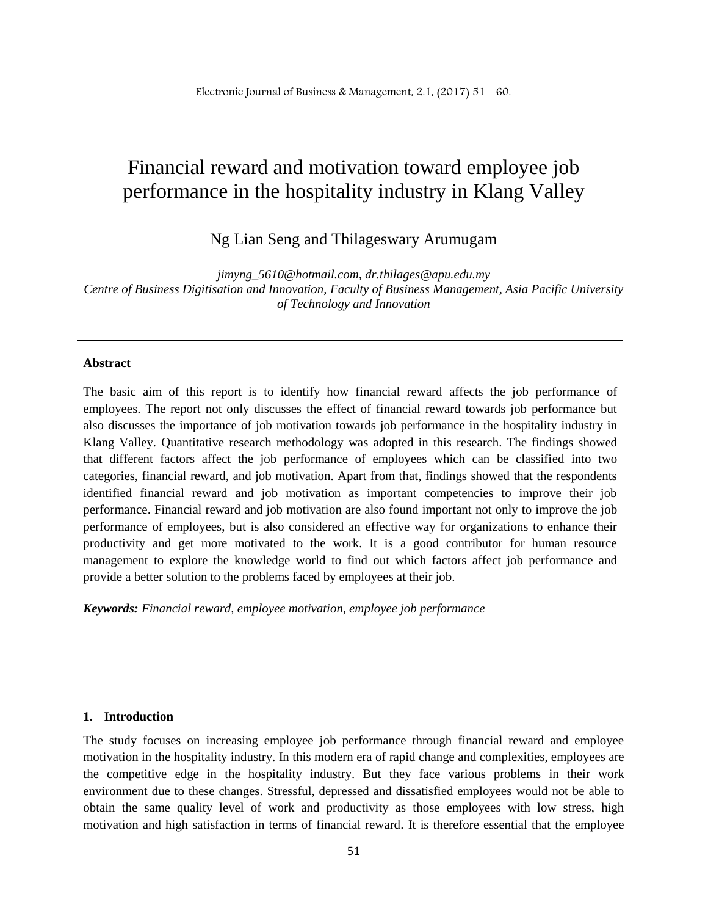# Financial reward and motivation toward employee job performance in the hospitality industry in Klang Valley

Ng Lian Seng and Thilageswary Arumugam

*[jimyng\\_5610@hotmail.com,](mailto:jimyng_5610@hotmail.com) dr[.thilages@apu.edu.my](mailto:thilages@apu.edu.my) Centre of Business Digitisation and Innovation, Faculty of Business Management, Asia Pacific University of Technology and Innovation*

#### **Abstract**

The basic aim of this report is to identify how financial reward affects the job performance of employees. The report not only discusses the effect of financial reward towards job performance but also discusses the importance of job motivation towards job performance in the hospitality industry in Klang Valley. Quantitative research methodology was adopted in this research. The findings showed that different factors affect the job performance of employees which can be classified into two categories, financial reward, and job motivation. Apart from that, findings showed that the respondents identified financial reward and job motivation as important competencies to improve their job performance. Financial reward and job motivation are also found important not only to improve the job performance of employees, but is also considered an effective way for organizations to enhance their productivity and get more motivated to the work. It is a good contributor for human resource management to explore the knowledge world to find out which factors affect job performance and provide a better solution to the problems faced by employees at their job.

*Keywords: Financial reward, employee motivation, employee job performance*

## **1. Introduction**

The study focuses on increasing employee job performance through financial reward and employee motivation in the hospitality industry. In this modern era of rapid change and complexities, employees are the competitive edge in the hospitality industry. But they face various problems in their work environment due to these changes. Stressful, depressed and dissatisfied employees would not be able to obtain the same quality level of work and productivity as those employees with low stress, high motivation and high satisfaction in terms of financial reward. It is therefore essential that the employee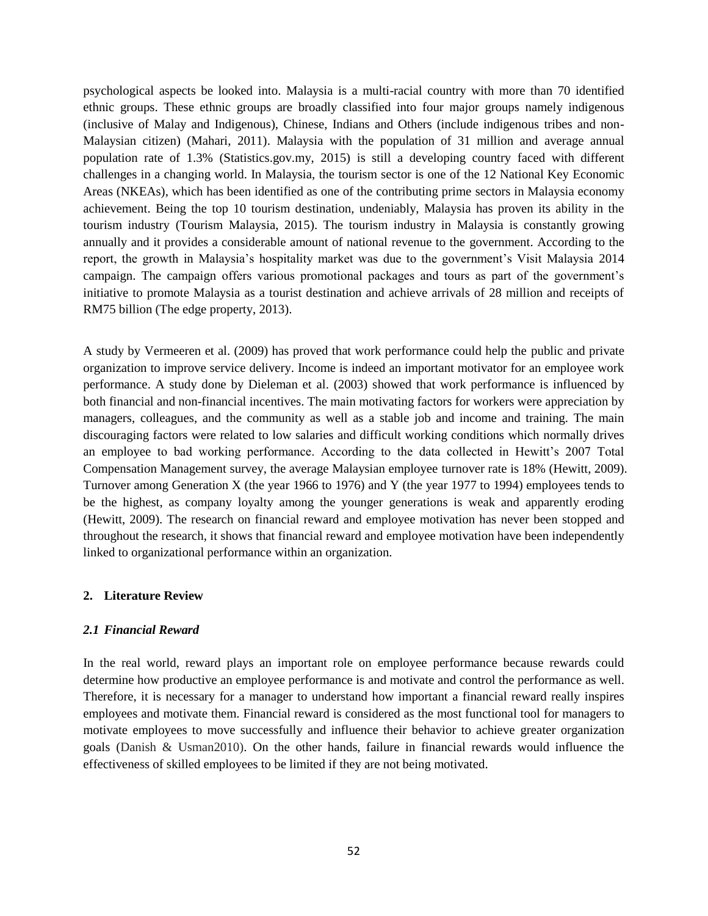psychological aspects be looked into. Malaysia is a multi-racial country with more than 70 identified ethnic groups. These ethnic groups are broadly classified into four major groups namely indigenous (inclusive of Malay and Indigenous), Chinese, Indians and Others (include indigenous tribes and non-Malaysian citizen) (Mahari, 2011). Malaysia with the population of 31 million and average annual population rate of 1.3% (Statistics.gov.my, 2015) is still a developing country faced with different challenges in a changing world. In Malaysia, the tourism sector is one of the 12 National Key Economic Areas (NKEAs), which has been identified as one of the contributing prime sectors in Malaysia economy achievement. Being the top 10 tourism destination, undeniably, Malaysia has proven its ability in the tourism industry (Tourism Malaysia, 2015). The tourism industry in Malaysia is constantly growing annually and it provides a considerable amount of national revenue to the government. According to the report, the growth in Malaysia's hospitality market was due to the government's Visit Malaysia 2014 campaign. The campaign offers various promotional packages and tours as part of the government's initiative to promote Malaysia as a tourist destination and achieve arrivals of 28 million and receipts of RM75 billion (The edge property, 2013).

A study by Vermeeren et al. (2009) has proved that work performance could help the public and private organization to improve service delivery. Income is indeed an important motivator for an employee work performance. A study done by Dieleman et al. (2003) showed that work performance is influenced by both financial and non-financial incentives. The main motivating factors for workers were appreciation by managers, colleagues, and the community as well as a stable job and income and training. The main discouraging factors were related to low salaries and difficult working conditions which normally drives an employee to bad working performance. According to the data collected in Hewitt's 2007 Total Compensation Management survey, the average Malaysian employee turnover rate is 18% (Hewitt, 2009). Turnover among Generation X (the year 1966 to 1976) and Y (the year 1977 to 1994) employees tends to be the highest, as company loyalty among the younger generations is weak and apparently eroding (Hewitt, 2009). The research on financial reward and employee motivation has never been stopped and throughout the research, it shows that financial reward and employee motivation have been independently linked to organizational performance within an organization.

## **2. Literature Review**

## *2.1 Financial Reward*

In the real world, reward plays an important role on employee performance because rewards could determine how productive an employee performance is and motivate and control the performance as well. Therefore, it is necessary for a manager to understand how important a financial reward really inspires employees and motivate them. Financial reward is considered as the most functional tool for managers to motivate employees to move successfully and influence their behavior to achieve greater organization goals (Danish & Usman2010). On the other hands, failure in financial rewards would influence the effectiveness of skilled employees to be limited if they are not being motivated.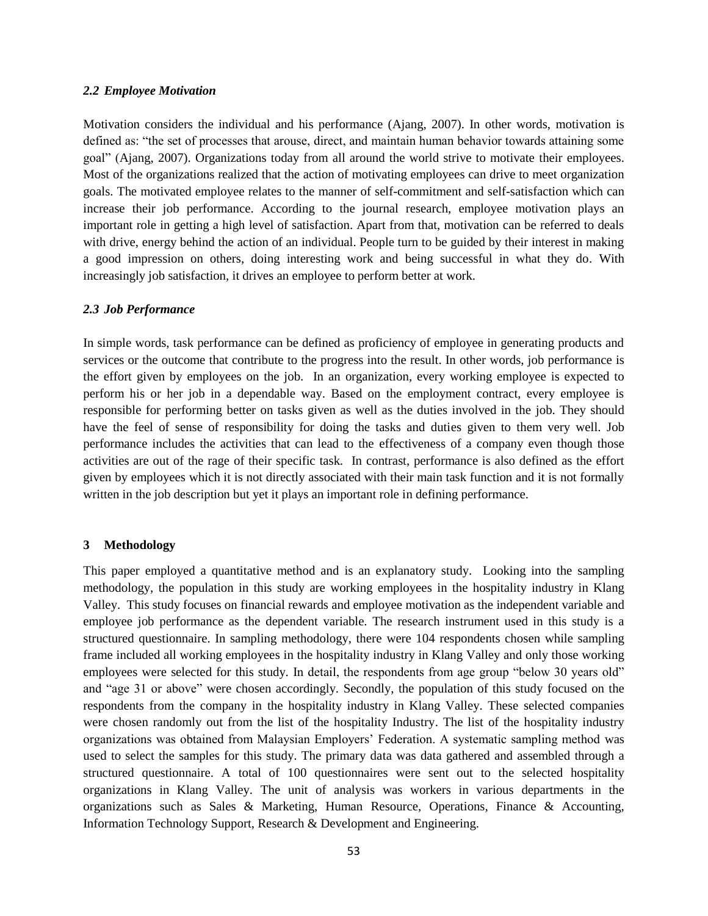### *2.2 Employee Motivation*

Motivation considers the individual and his performance (Ajang, 2007). In other words, motivation is defined as: "the set of processes that arouse, direct, and maintain human behavior towards attaining some goal" (Ajang, 2007). Organizations today from all around the world strive to motivate their employees. Most of the organizations realized that the action of motivating employees can drive to meet organization goals. The motivated employee relates to the manner of self-commitment and self-satisfaction which can increase their job performance. According to the journal research, employee motivation plays an important role in getting a high level of satisfaction. Apart from that, motivation can be referred to deals with drive, energy behind the action of an individual. People turn to be guided by their interest in making a good impression on others, doing interesting work and being successful in what they do. With increasingly job satisfaction, it drives an employee to perform better at work.

### *2.3 Job Performance*

In simple words, task performance can be defined as proficiency of employee in generating products and services or the outcome that contribute to the progress into the result. In other words, job performance is the effort given by employees on the job. In an organization, every working employee is expected to perform his or her job in a dependable way. Based on the employment contract, every employee is responsible for performing better on tasks given as well as the duties involved in the job. They should have the feel of sense of responsibility for doing the tasks and duties given to them very well. Job performance includes the activities that can lead to the effectiveness of a company even though those activities are out of the rage of their specific task. In contrast, performance is also defined as the effort given by employees which it is not directly associated with their main task function and it is not formally written in the job description but yet it plays an important role in defining performance.

## **3 Methodology**

This paper employed a quantitative method and is an explanatory study. Looking into the sampling methodology, the population in this study are working employees in the hospitality industry in Klang Valley. This study focuses on financial rewards and employee motivation as the independent variable and employee job performance as the dependent variable. The research instrument used in this study is a structured questionnaire. In sampling methodology, there were 104 respondents chosen while sampling frame included all working employees in the hospitality industry in Klang Valley and only those working employees were selected for this study. In detail, the respondents from age group "below 30 years old" and "age 31 or above" were chosen accordingly. Secondly, the population of this study focused on the respondents from the company in the hospitality industry in Klang Valley. These selected companies were chosen randomly out from the list of the hospitality Industry. The list of the hospitality industry organizations was obtained from Malaysian Employers' Federation. A systematic sampling method was used to select the samples for this study. The primary data was data gathered and assembled through a structured questionnaire. A total of 100 questionnaires were sent out to the selected hospitality organizations in Klang Valley. The unit of analysis was workers in various departments in the organizations such as Sales & Marketing, Human Resource, Operations, Finance & Accounting, Information Technology Support, Research & Development and Engineering.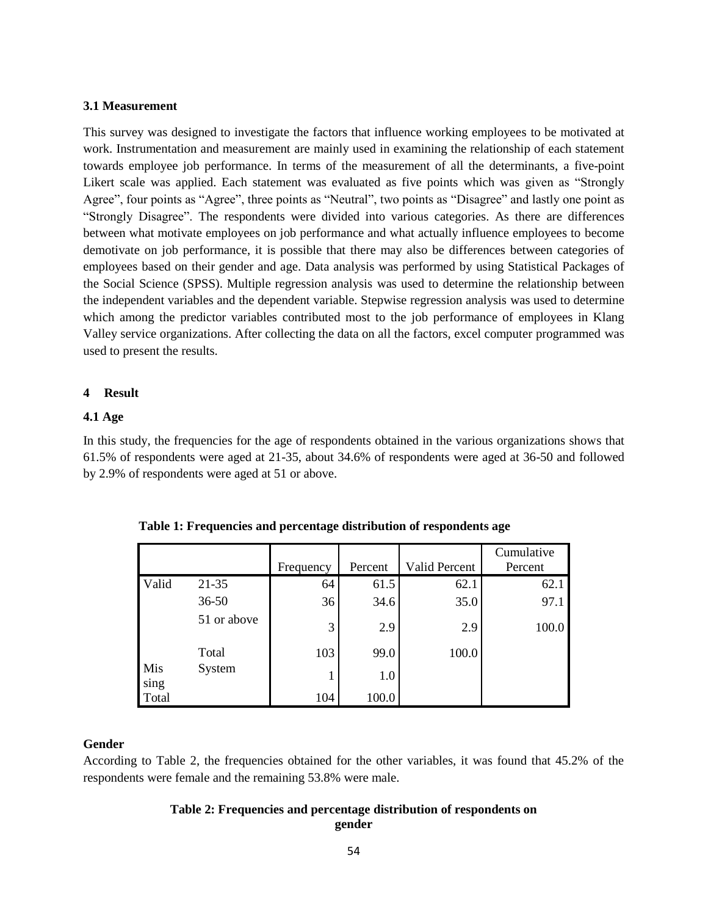## **3.1 Measurement**

This survey was designed to investigate the factors that influence working employees to be motivated at work. Instrumentation and measurement are mainly used in examining the relationship of each statement towards employee job performance. In terms of the measurement of all the determinants, a five-point Likert scale was applied. Each statement was evaluated as five points which was given as "Strongly Agree", four points as "Agree", three points as "Neutral", two points as "Disagree" and lastly one point as "Strongly Disagree". The respondents were divided into various categories. As there are differences between what motivate employees on job performance and what actually influence employees to become demotivate on job performance, it is possible that there may also be differences between categories of employees based on their gender and age. Data analysis was performed by using Statistical Packages of the Social Science (SPSS). Multiple regression analysis was used to determine the relationship between the independent variables and the dependent variable. Stepwise regression analysis was used to determine which among the predictor variables contributed most to the job performance of employees in Klang Valley service organizations. After collecting the data on all the factors, excel computer programmed was used to present the results.

#### **4 Result**

## **4.1 Age**

In this study, the frequencies for the age of respondents obtained in the various organizations shows that 61.5% of respondents were aged at 21-35, about 34.6% of respondents were aged at 36-50 and followed by 2.9% of respondents were aged at 51 or above.

|             |             |           |         |                      | Cumulative |
|-------------|-------------|-----------|---------|----------------------|------------|
|             |             | Frequency | Percent | <b>Valid Percent</b> | Percent    |
| Valid       | $21 - 35$   | 64        | 61.5    | 62.1                 | 62.1       |
|             | $36 - 50$   | 36        | 34.6    | 35.0                 | 97.1       |
|             | 51 or above | 3         | 2.9     | 2.9                  | 100.0      |
|             | Total       | 103       | 99.0    | 100.0                |            |
| Mis<br>sing | System      |           | 1.0     |                      |            |
| Total       |             | 104       | 100.0   |                      |            |

| Table 1: Frequencies and percentage distribution of respondents age |  |  |  |  |  |  |  |  |  |
|---------------------------------------------------------------------|--|--|--|--|--|--|--|--|--|
|---------------------------------------------------------------------|--|--|--|--|--|--|--|--|--|

## **Gender**

According to Table 2, the frequencies obtained for the other variables, it was found that 45.2% of the respondents were female and the remaining 53.8% were male.

## **Table 2: Frequencies and percentage distribution of respondents on gender**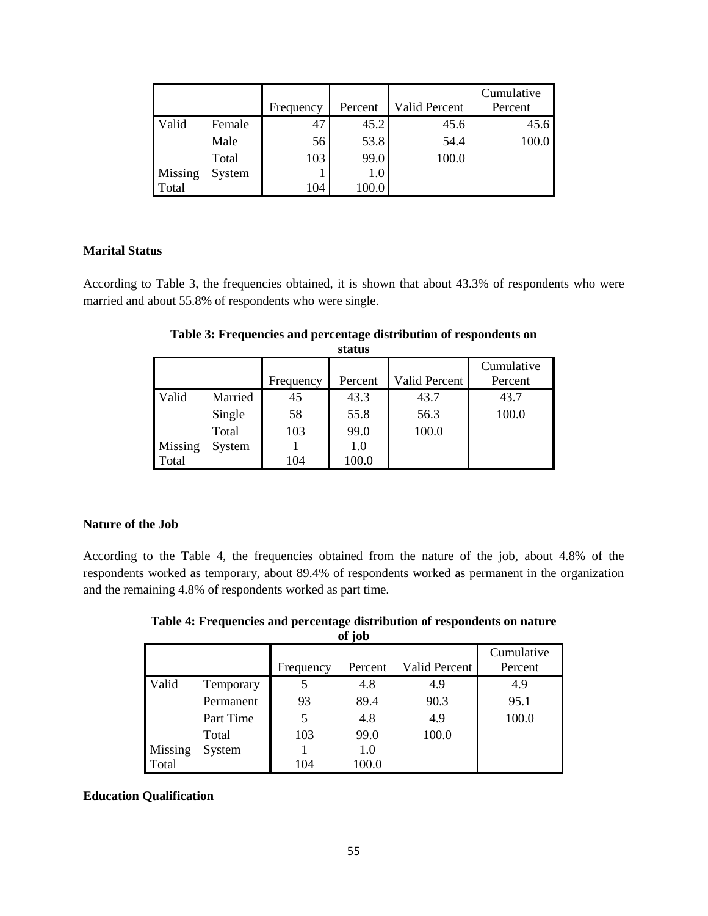|         |        | Frequency | Percent | Valid Percent | Cumulative<br>Percent |
|---------|--------|-----------|---------|---------------|-----------------------|
| Valid   | Female | 47        | 45.2    | 45.6          | 45.6                  |
|         | Male   | 56        | 53.8    | 54.4          | 100.0                 |
|         | Total  | 103       | 99.0    | 100.0         |                       |
| Missing | System |           | 1.0     |               |                       |
| Total   |        | 104       | 100.0   |               |                       |

# **Marital Status**

According to Table 3, the frequencies obtained, it is shown that about 43.3% of respondents who were married and about 55.8% of respondents who were single.

|         |         | Frequency | Percent | <b>Valid Percent</b> | Cumulative<br>Percent |
|---------|---------|-----------|---------|----------------------|-----------------------|
| Valid   | Married | 45        | 43.3    | 43.7                 | 43.7                  |
|         | Single  | 58        | 55.8    | 56.3                 | 100.0                 |
|         | Total   | 103       | 99.0    | 100.0                |                       |
| Missing | System  |           | 1.0     |                      |                       |
| Total   |         | 104       | 100.0   |                      |                       |

**Table 3: Frequencies and percentage distribution of respondents on status**

# **Nature of the Job**

According to the Table 4, the frequencies obtained from the nature of the job, about 4.8% of the respondents worked as temporary, about 89.4% of respondents worked as permanent in the organization and the remaining 4.8% of respondents worked as part time.

**Table 4: Frequencies and percentage distribution of respondents on nature of job**

|         | OL JOD    |           |         |               |            |  |  |  |
|---------|-----------|-----------|---------|---------------|------------|--|--|--|
|         |           |           |         |               | Cumulative |  |  |  |
|         |           | Frequency | Percent | Valid Percent | Percent    |  |  |  |
| Valid   | Temporary |           | 4.8     | 4.9           | 4.9        |  |  |  |
|         | Permanent | 93        | 89.4    | 90.3          | 95.1       |  |  |  |
|         | Part Time | 5         | 4.8     | 4.9           | 100.0      |  |  |  |
|         | Total     | 103       | 99.0    | 100.0         |            |  |  |  |
| Missing | System    |           | 1.0     |               |            |  |  |  |
| Total   |           | 104       | 100.0   |               |            |  |  |  |

# **Education Qualification**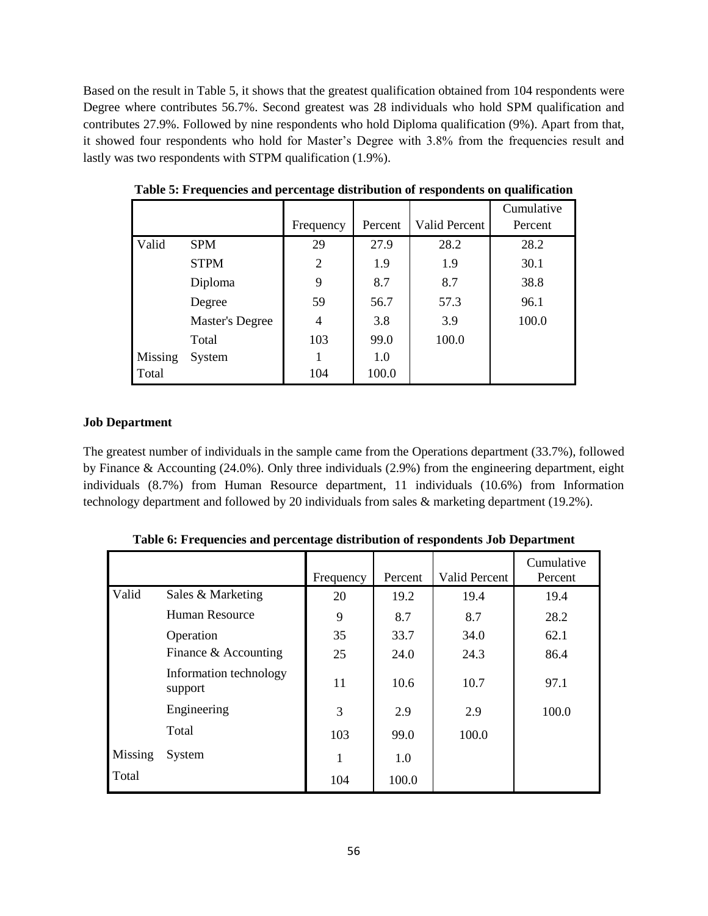Based on the result in Table 5, it shows that the greatest qualification obtained from 104 respondents were Degree where contributes 56.7%. Second greatest was 28 individuals who hold SPM qualification and contributes 27.9%. Followed by nine respondents who hold Diploma qualification (9%). Apart from that, it showed four respondents who hold for Master's Degree with 3.8% from the frequencies result and lastly was two respondents with STPM qualification (1.9%).

|         |                        |           |         |                      | Cumulative |
|---------|------------------------|-----------|---------|----------------------|------------|
|         |                        | Frequency | Percent | <b>Valid Percent</b> | Percent    |
| Valid   | <b>SPM</b>             | 29        | 27.9    | 28.2                 | 28.2       |
|         | <b>STPM</b>            | 2         | 1.9     | 1.9                  | 30.1       |
|         | Diploma                | 9         | 8.7     | 8.7                  | 38.8       |
|         | Degree                 | 59        | 56.7    | 57.3                 | 96.1       |
|         | <b>Master's Degree</b> | 4         | 3.8     | 3.9                  | 100.0      |
|         | Total                  | 103       | 99.0    | 100.0                |            |
| Missing | System                 |           | 1.0     |                      |            |
| Total   |                        | 104       | 100.0   |                      |            |

**Table 5: Frequencies and percentage distribution of respondents on qualification**

# **Job Department**

The greatest number of individuals in the sample came from the Operations department (33.7%), followed by Finance & Accounting (24.0%). Only three individuals (2.9%) from the engineering department, eight individuals (8.7%) from Human Resource department, 11 individuals (10.6%) from Information technology department and followed by 20 individuals from sales & marketing department (19.2%).

|         |                                   | Frequency | Percent | Valid Percent | Cumulative<br>Percent |
|---------|-----------------------------------|-----------|---------|---------------|-----------------------|
| Valid   | Sales & Marketing                 | 20        | 19.2    | 19.4          | 19.4                  |
|         | Human Resource                    | 9         | 8.7     | 8.7           | 28.2                  |
|         | Operation                         | 35        | 33.7    | 34.0          | 62.1                  |
|         | Finance & Accounting              | 25        | 24.0    | 24.3          | 86.4                  |
|         | Information technology<br>support | 11        | 10.6    | 10.7          | 97.1                  |
|         | Engineering                       | 3         | 2.9     | 2.9           | 100.0                 |
|         | Total                             | 103       | 99.0    | 100.0         |                       |
| Missing | System                            |           | 1.0     |               |                       |
| Total   |                                   | 104       | 100.0   |               |                       |

**Table 6: Frequencies and percentage distribution of respondents Job Department**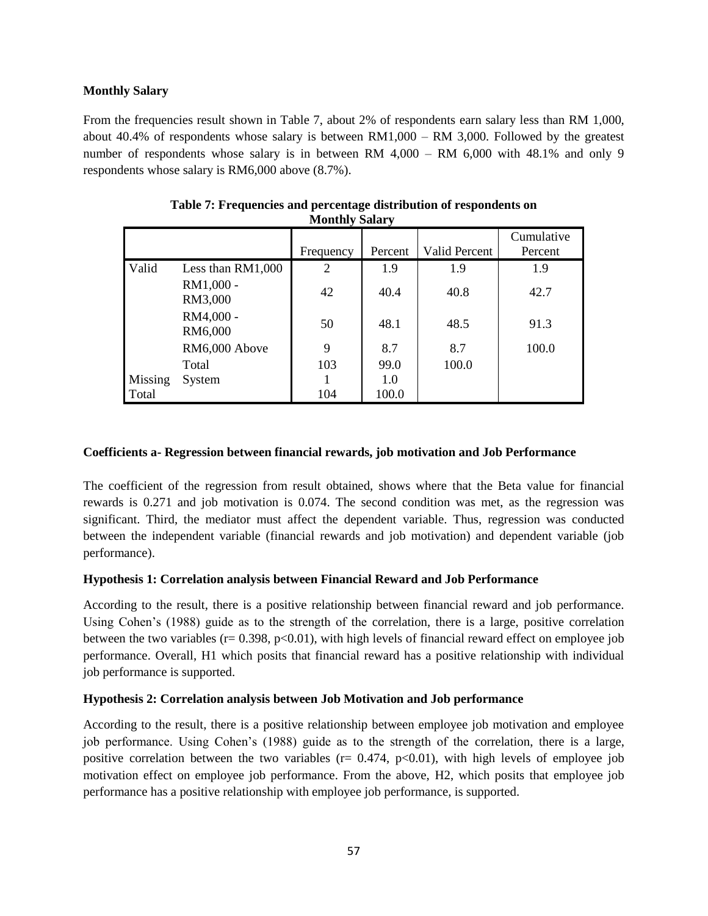# **Monthly Salary**

From the frequencies result shown in Table 7, about 2% of respondents earn salary less than RM 1,000, about  $40.4\%$  of respondents whose salary is between RM1,000 – RM 3,000. Followed by the greatest number of respondents whose salary is in between RM 4,000 – RM 6,000 with 48.1% and only 9 respondents whose salary is RM6,000 above (8.7%).

|         |                      | $\sim$    |         |               |                       |
|---------|----------------------|-----------|---------|---------------|-----------------------|
|         |                      | Frequency | Percent | Valid Percent | Cumulative<br>Percent |
| Valid   | Less than RM1,000    | 2         | 1.9     | 1.9           | 1.9                   |
|         | RM1,000 -<br>RM3,000 | 42        | 40.4    | 40.8          | 42.7                  |
|         | RM4,000 -<br>RM6,000 | 50        | 48.1    | 48.5          | 91.3                  |
|         | RM6,000 Above        | 9         | 8.7     | 8.7           | 100.0                 |
|         | Total                | 103       | 99.0    | 100.0         |                       |
| Missing | System               |           | 1.0     |               |                       |
| Total   |                      | 104       | 100.0   |               |                       |

| Table 7: Frequencies and percentage distribution of respondents on |  |
|--------------------------------------------------------------------|--|
| <b>Monthly Salary</b>                                              |  |

## **Coefficients a- Regression between financial rewards, job motivation and Job Performance**

The coefficient of the regression from result obtained, shows where that the Beta value for financial rewards is 0.271 and job motivation is 0.074. The second condition was met, as the regression was significant. Third, the mediator must affect the dependent variable. Thus, regression was conducted between the independent variable (financial rewards and job motivation) and dependent variable (job performance).

# **Hypothesis 1: Correlation analysis between Financial Reward and Job Performance**

According to the result, there is a positive relationship between financial reward and job performance. Using Cohen's (1988) guide as to the strength of the correlation, there is a large, positive correlation between the two variables ( $r= 0.398$ ,  $p<0.01$ ), with high levels of financial reward effect on employee job performance. Overall, H1 which posits that financial reward has a positive relationship with individual job performance is supported.

# **Hypothesis 2: Correlation analysis between Job Motivation and Job performance**

According to the result, there is a positive relationship between employee job motivation and employee job performance. Using Cohen's (1988) guide as to the strength of the correlation, there is a large, positive correlation between the two variables ( $r = 0.474$ ,  $p < 0.01$ ), with high levels of employee job motivation effect on employee job performance. From the above, H2, which posits that employee job performance has a positive relationship with employee job performance, is supported.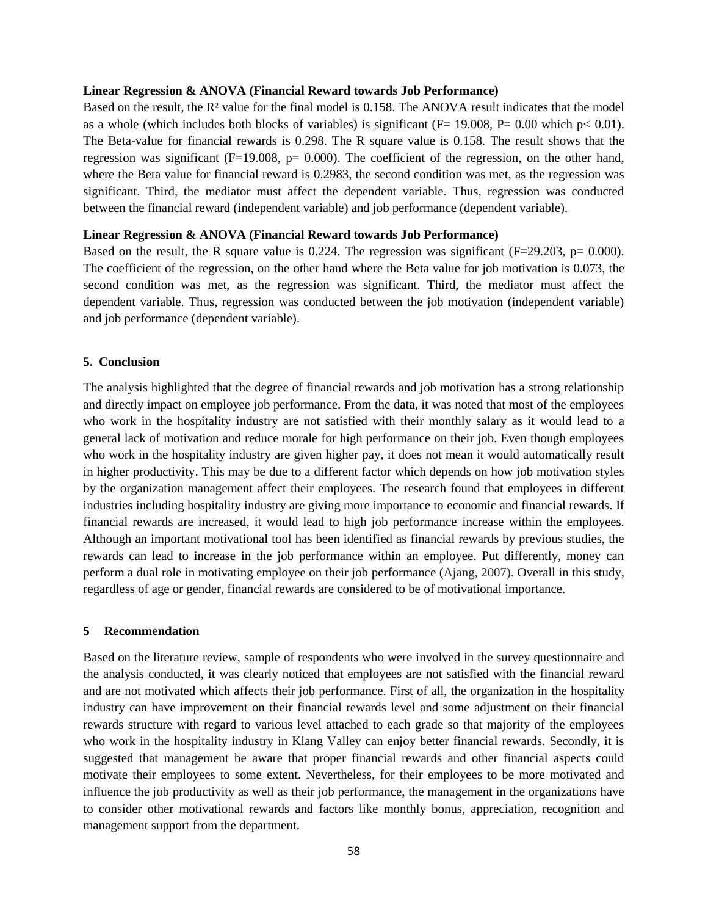#### **Linear Regression & ANOVA (Financial Reward towards Job Performance)**

Based on the result, the R² value for the final model is 0.158. The ANOVA result indicates that the model as a whole (which includes both blocks of variables) is significant ( $F= 19.008$ ,  $P= 0.00$  which p $< 0.01$ ). The Beta-value for financial rewards is 0.298. The R square value is 0.158. The result shows that the regression was significant ( $F=19.008$ ,  $p= 0.000$ ). The coefficient of the regression, on the other hand, where the Beta value for financial reward is 0.2983, the second condition was met, as the regression was significant. Third, the mediator must affect the dependent variable. Thus, regression was conducted between the financial reward (independent variable) and job performance (dependent variable).

## **Linear Regression & ANOVA (Financial Reward towards Job Performance)**

Based on the result, the R square value is 0.224. The regression was significant  $(F=29.203, p= 0.000)$ . The coefficient of the regression, on the other hand where the Beta value for job motivation is 0.073, the second condition was met, as the regression was significant. Third, the mediator must affect the dependent variable. Thus, regression was conducted between the job motivation (independent variable) and job performance (dependent variable).

## **5. Conclusion**

The analysis highlighted that the degree of financial rewards and job motivation has a strong relationship and directly impact on employee job performance. From the data, it was noted that most of the employees who work in the hospitality industry are not satisfied with their monthly salary as it would lead to a general lack of motivation and reduce morale for high performance on their job. Even though employees who work in the hospitality industry are given higher pay, it does not mean it would automatically result in higher productivity. This may be due to a different factor which depends on how job motivation styles by the organization management affect their employees. The research found that employees in different industries including hospitality industry are giving more importance to economic and financial rewards. If financial rewards are increased, it would lead to high job performance increase within the employees. Although an important motivational tool has been identified as financial rewards by previous studies, the rewards can lead to increase in the job performance within an employee. Put differently, money can perform a dual role in motivating employee on their job performance (Ajang, 2007). Overall in this study, regardless of age or gender, financial rewards are considered to be of motivational importance.

#### **5 Recommendation**

Based on the literature review, sample of respondents who were involved in the survey questionnaire and the analysis conducted, it was clearly noticed that employees are not satisfied with the financial reward and are not motivated which affects their job performance. First of all, the organization in the hospitality industry can have improvement on their financial rewards level and some adjustment on their financial rewards structure with regard to various level attached to each grade so that majority of the employees who work in the hospitality industry in Klang Valley can enjoy better financial rewards. Secondly, it is suggested that management be aware that proper financial rewards and other financial aspects could motivate their employees to some extent. Nevertheless, for their employees to be more motivated and influence the job productivity as well as their job performance, the management in the organizations have to consider other motivational rewards and factors like monthly bonus, appreciation, recognition and management support from the department.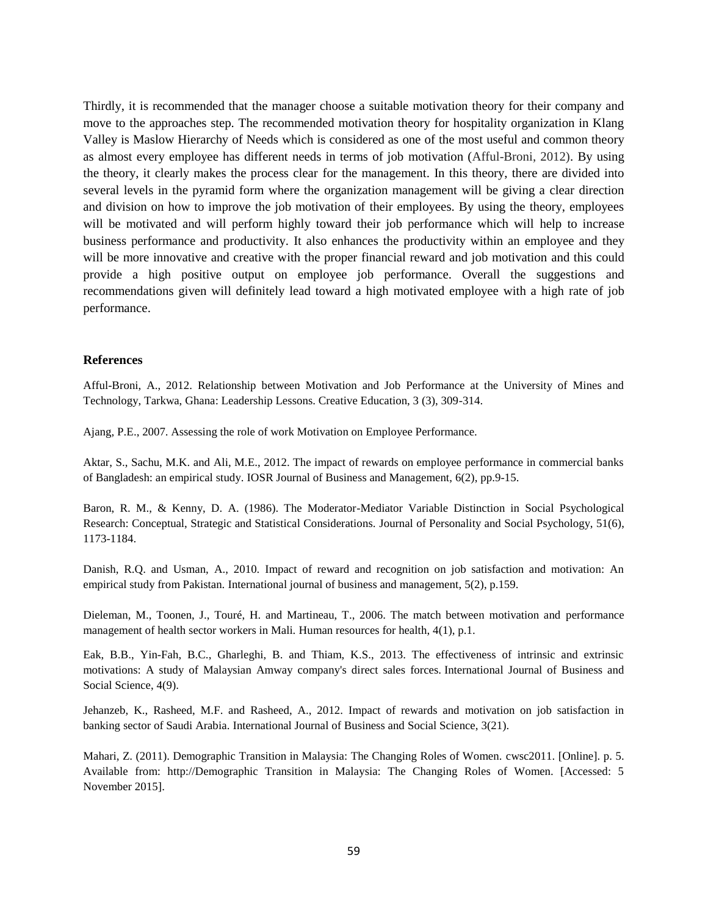Thirdly, it is recommended that the manager choose a suitable motivation theory for their company and move to the approaches step. The recommended motivation theory for hospitality organization in Klang Valley is Maslow Hierarchy of Needs which is considered as one of the most useful and common theory as almost every employee has different needs in terms of job motivation (Afful-Broni, 2012). By using the theory, it clearly makes the process clear for the management. In this theory, there are divided into several levels in the pyramid form where the organization management will be giving a clear direction and division on how to improve the job motivation of their employees. By using the theory, employees will be motivated and will perform highly toward their job performance which will help to increase business performance and productivity. It also enhances the productivity within an employee and they will be more innovative and creative with the proper financial reward and job motivation and this could provide a high positive output on employee job performance. Overall the suggestions and recommendations given will definitely lead toward a high motivated employee with a high rate of job performance.

#### **References**

Afful-Broni, A., 2012. Relationship between Motivation and Job Performance at the University of Mines and Technology, Tarkwa, Ghana: Leadership Lessons. Creative Education, 3 (3), 309-314.

Ajang, P.E., 2007. Assessing the role of work Motivation on Employee Performance.

Aktar, S., Sachu, M.K. and Ali, M.E., 2012. The impact of rewards on employee performance in commercial banks of Bangladesh: an empirical study. IOSR Journal of Business and Management, 6(2), pp.9-15.

Baron, R. M., & Kenny, D. A. (1986). The Moderator-Mediator Variable Distinction in Social Psychological Research: Conceptual, Strategic and Statistical Considerations. Journal of Personality and Social Psychology, 51(6), 1173-1184.

Danish, R.Q. and Usman, A., 2010. Impact of reward and recognition on job satisfaction and motivation: An empirical study from Pakistan. International journal of business and management, 5(2), p.159.

Dieleman, M., Toonen, J., Touré, H. and Martineau, T., 2006. The match between motivation and performance management of health sector workers in Mali. Human resources for health, 4(1), p.1.

Eak, B.B., Yin-Fah, B.C., Gharleghi, B. and Thiam, K.S., 2013. The effectiveness of intrinsic and extrinsic motivations: A study of Malaysian Amway company's direct sales forces. International Journal of Business and Social Science, 4(9).

Jehanzeb, K., Rasheed, M.F. and Rasheed, A., 2012. Impact of rewards and motivation on job satisfaction in banking sector of Saudi Arabia. International Journal of Business and Social Science, 3(21).

Mahari, Z. (2011). Demographic Transition in Malaysia: The Changing Roles of Women. cwsc2011. [Online]. p. 5. Available from: http://Demographic Transition in Malaysia: The Changing Roles of Women. [Accessed: 5 November 2015].